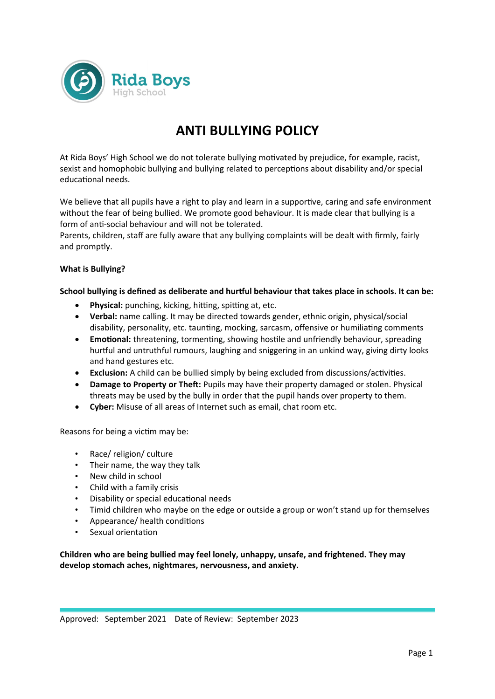

# **ANTI BULLYING POLICY**

At Rida Boys' High School we do not tolerate bullying motivated by prejudice, for example, racist, sexist and homophobic bullying and bullying related to perceptions about disability and/or special educational needs.

We believe that all pupils have a right to play and learn in a supportive, caring and safe environment without the fear of being bullied. We promote good behaviour. It is made clear that bullying is a form of anti-social behaviour and will not be tolerated.

Parents, children, staff are fully aware that any bullying complaints will be dealt with firmly, fairly and promptly.

# **What is Bullying?**

**School bullying is defined as deliberate and hurtful behaviour that takes place in schools. It can be:**

- **Physical:** punching, kicking, hitting, spitting at, etc.
- **Verbal:** name calling. It may be directed towards gender, ethnic origin, physical/social disability, personality, etc. taunting, mocking, sarcasm, offensive or humiliating comments
- **Emotional:** threatening, tormenting, showing hostile and unfriendly behaviour, spreading hurtful and untruthful rumours, laughing and sniggering in an unkind way, giving dirty looks and hand gestures etc.
- **Exclusion:** A child can be bullied simply by being excluded from discussions/activities.
- **Damage to Property or Theft:** Pupils may have their property damaged or stolen. Physical threats may be used by the bully in order that the pupil hands over property to them.
- **Cyber:** Misuse of all areas of Internet such as email, chat room etc.

Reasons for being a victim may be:

- Race/ religion/ culture
- Their name, the way they talk
- New child in school
- Child with a family crisis
- Disability or special educational needs
- Timid children who maybe on the edge or outside a group or won't stand up for themselves
- Appearance/ health conditions
- Sexual orientation

**Children who are being bullied may feel lonely, unhappy, unsafe, and frightened. They may develop stomach aches, nightmares, nervousness, and anxiety.**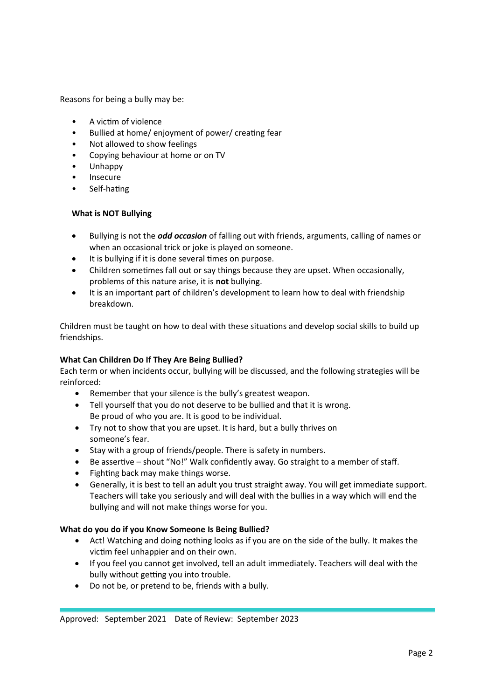Reasons for being a bully may be:

- A victim of violence
- Bullied at home/ enjoyment of power/ creating fear
- Not allowed to show feelings
- Copying behaviour at home or on TV
- Unhappy
- Insecure
- Self-hating

## **What is NOT Bullying**

- Bullying is not the *odd occasion* of falling out with friends, arguments, calling of names or when an occasional trick or joke is played on someone.
- It is bullying if it is done several times on purpose.
- Children sometimes fall out or say things because they are upset. When occasionally, problems of this nature arise, it is **not** bullying.
- It is an important part of children's development to learn how to deal with friendship breakdown.

Children must be taught on how to deal with these situations and develop social skills to build up friendships.

## **What Can Children Do If They Are Being Bullied?**

Each term or when incidents occur, bullying will be discussed, and the following strategies will be reinforced:

- Remember that your silence is the bully's greatest weapon.
- Tell yourself that you do not deserve to be bullied and that it is wrong. Be proud of who you are. It is good to be individual.
- Try not to show that you are upset. It is hard, but a bully thrives on someone's fear.
- Stay with a group of friends/people. There is safety in numbers.
- Be assertive shout "No!" Walk confidently away. Go straight to a member of staff.
- Fighting back may make things worse.
- Generally, it is best to tell an adult you trust straight away. You will get immediate support. Teachers will take you seriously and will deal with the bullies in a way which will end the bullying and will not make things worse for you.

## **What do you do if you Know Someone Is Being Bullied?**

- Act! Watching and doing nothing looks as if you are on the side of the bully. It makes the victim feel unhappier and on their own.
- If you feel you cannot get involved, tell an adult immediately. Teachers will deal with the bully without getting you into trouble.
- Do not be, or pretend to be, friends with a bully.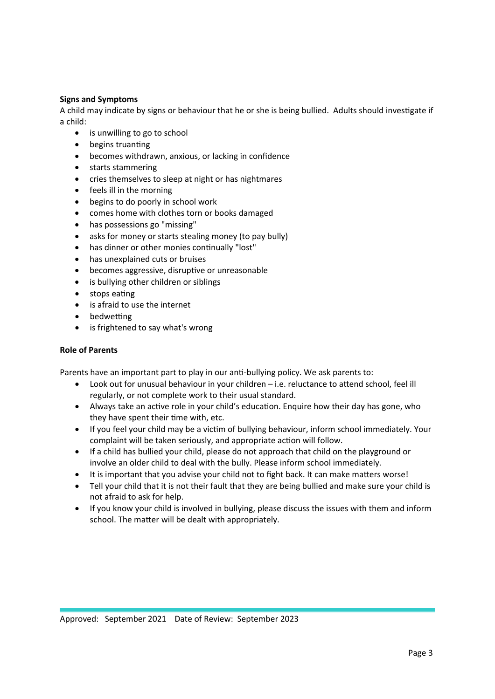# **Signs and Symptoms**

A child may indicate by signs or behaviour that he or she is being bullied. Adults should investigate if a child:

- is unwilling to go to school
- begins truanting
- becomes withdrawn, anxious, or lacking in confidence
- starts stammering
- cries themselves to sleep at night or has nightmares
- feels ill in the morning
- begins to do poorly in school work
- comes home with clothes torn or books damaged
- has possessions go "missing"
- asks for money or starts stealing money (to pay bully)
- has dinner or other monies continually "lost"
- has unexplained cuts or bruises
- becomes aggressive, disruptive or unreasonable
- is bullying other children or siblings
- stops eating
- is afraid to use the internet
- bedwetting
- is frightened to say what's wrong

#### **Role of Parents**

Parents have an important part to play in our anti-bullying policy. We ask parents to:

- Look out for unusual behaviour in your children i.e. reluctance to attend school, feel ill regularly, or not complete work to their usual standard.
- Always take an active role in your child's education. Enquire how their day has gone, who they have spent their time with, etc.
- If you feel your child may be a victim of bullying behaviour, inform school immediately. Your complaint will be taken seriously, and appropriate action will follow.
- If a child has bullied your child, please do not approach that child on the playground or involve an older child to deal with the bully. Please inform school immediately.
- It is important that you advise your child not to fight back. It can make matters worse!
- Tell your child that it is not their fault that they are being bullied and make sure your child is not afraid to ask for help.
- If you know your child is involved in bullying, please discuss the issues with them and inform school. The matter will be dealt with appropriately.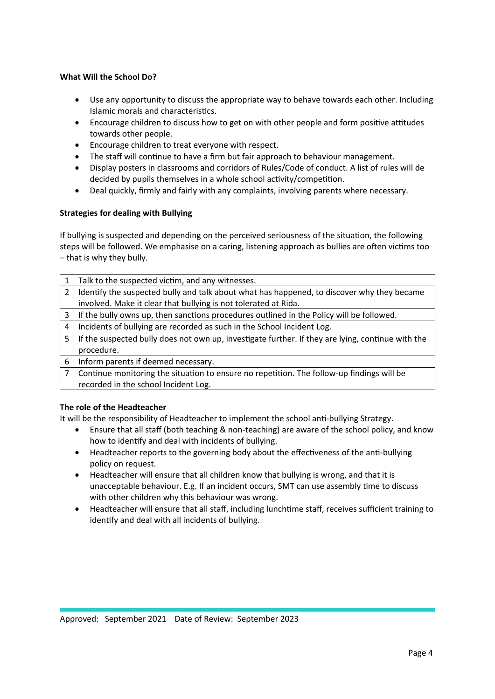# **What Will the School Do?**

- Use any opportunity to discuss the appropriate way to behave towards each other. Including Islamic morals and characteristics.
- Encourage children to discuss how to get on with other people and form positive attitudes towards other people.
- Encourage children to treat everyone with respect.
- The staff will continue to have a firm but fair approach to behaviour management.
- Display posters in classrooms and corridors of Rules/Code of conduct. A list of rules will de decided by pupils themselves in a whole school activity/competition.
- Deal quickly, firmly and fairly with any complaints, involving parents where necessary.

# **Strategies for dealing with Bullying**

If bullying is suspected and depending on the perceived seriousness of the situation, the following steps will be followed. We emphasise on a caring, listening approach as bullies are often victims too – that is why they bully.

|   | Talk to the suspected victim, and any witnesses.                                                  |
|---|---------------------------------------------------------------------------------------------------|
|   | Identify the suspected bully and talk about what has happened, to discover why they became        |
|   | involved. Make it clear that bullying is not tolerated at Rida.                                   |
| 3 | If the bully owns up, then sanctions procedures outlined in the Policy will be followed.          |
| 4 | Incidents of bullying are recorded as such in the School Incident Log.                            |
| 5 | If the suspected bully does not own up, investigate further. If they are lying, continue with the |
|   | procedure.                                                                                        |
| 6 | Inform parents if deemed necessary.                                                               |
| 7 | Continue monitoring the situation to ensure no repetition. The follow-up findings will be         |
|   | recorded in the school Incident Log.                                                              |

## **The role of the Headteacher**

It will be the responsibility of Headteacher to implement the school anti-bullying Strategy.

- Ensure that all staff (both teaching & non-teaching) are aware of the school policy, and know how to identify and deal with incidents of bullying.
- Headteacher reports to the governing body about the effectiveness of the anti-bullying policy on request.
- Headteacher will ensure that all children know that bullying is wrong, and that it is unacceptable behaviour. E.g. If an incident occurs, SMT can use assembly time to discuss with other children why this behaviour was wrong.
- Headteacher will ensure that all staff, including lunchtime staff, receives sufficient training to identify and deal with all incidents of bullying.